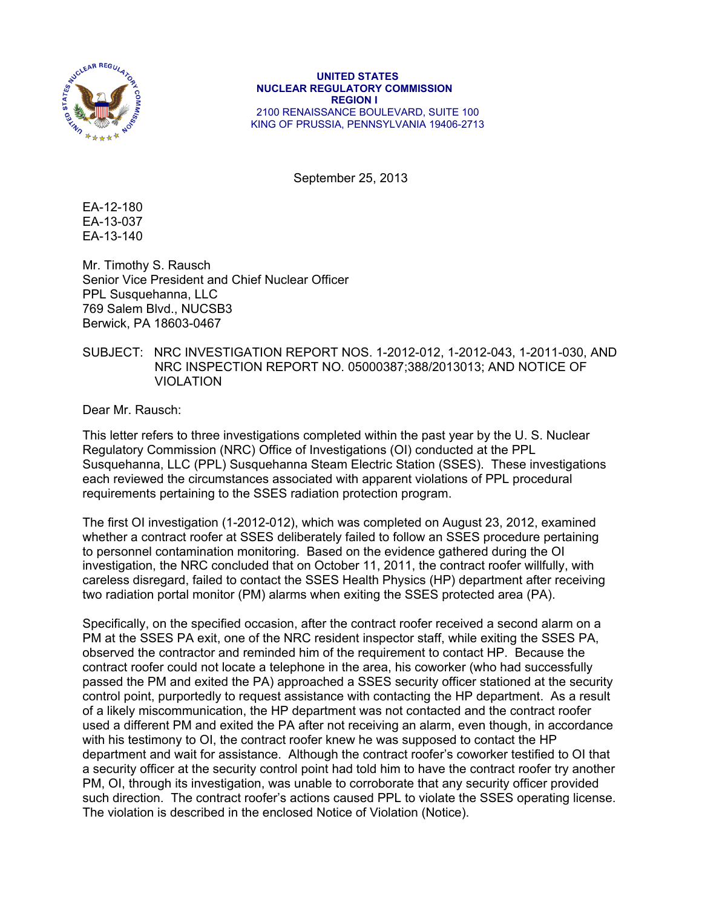

## **UNITED STATES NUCLEAR REGULATORY COMMISSION REGION I**  2100 RENAISSANCE BOULEVARD, SUITE 100 KING OF PRUSSIA, PENNSYLVANIA 19406-2713

September 25, 2013

EA-12-180 EA-13-037 EA-13-140

Mr. Timothy S. Rausch Senior Vice President and Chief Nuclear Officer PPL Susquehanna, LLC 769 Salem Blvd., NUCSB3 Berwick, PA 18603-0467

## SUBJECT: NRC INVESTIGATION REPORT NOS. 1-2012-012, 1-2012-043, 1-2011-030, AND NRC INSPECTION REPORT NO. 05000387;388/2013013; AND NOTICE OF VIOLATION

Dear Mr. Rausch:

This letter refers to three investigations completed within the past year by the U. S. Nuclear Regulatory Commission (NRC) Office of Investigations (OI) conducted at the PPL Susquehanna, LLC (PPL) Susquehanna Steam Electric Station (SSES). These investigations each reviewed the circumstances associated with apparent violations of PPL procedural requirements pertaining to the SSES radiation protection program.

The first OI investigation (1-2012-012), which was completed on August 23, 2012, examined whether a contract roofer at SSES deliberately failed to follow an SSES procedure pertaining to personnel contamination monitoring. Based on the evidence gathered during the OI investigation, the NRC concluded that on October 11, 2011, the contract roofer willfully, with careless disregard, failed to contact the SSES Health Physics (HP) department after receiving two radiation portal monitor (PM) alarms when exiting the SSES protected area (PA).

Specifically, on the specified occasion, after the contract roofer received a second alarm on a PM at the SSES PA exit, one of the NRC resident inspector staff, while exiting the SSES PA, observed the contractor and reminded him of the requirement to contact HP. Because the contract roofer could not locate a telephone in the area, his coworker (who had successfully passed the PM and exited the PA) approached a SSES security officer stationed at the security control point, purportedly to request assistance with contacting the HP department. As a result of a likely miscommunication, the HP department was not contacted and the contract roofer used a different PM and exited the PA after not receiving an alarm, even though, in accordance with his testimony to OI, the contract roofer knew he was supposed to contact the HP department and wait for assistance. Although the contract roofer's coworker testified to OI that a security officer at the security control point had told him to have the contract roofer try another PM, OI, through its investigation, was unable to corroborate that any security officer provided such direction. The contract roofer's actions caused PPL to violate the SSES operating license. The violation is described in the enclosed Notice of Violation (Notice).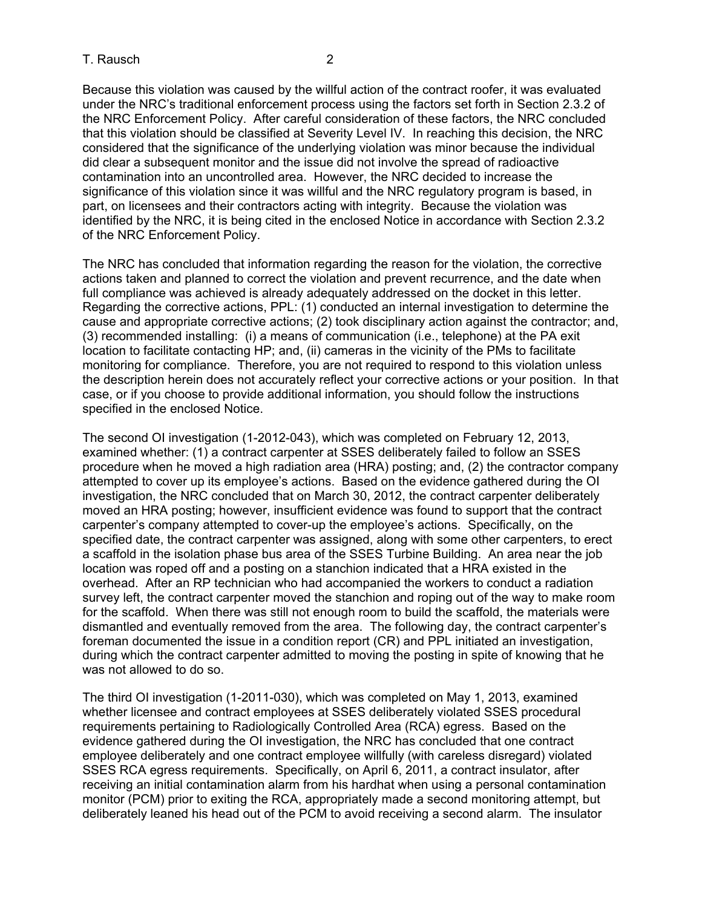Because this violation was caused by the willful action of the contract roofer, it was evaluated under the NRC's traditional enforcement process using the factors set forth in Section 2.3.2 of the NRC Enforcement Policy. After careful consideration of these factors, the NRC concluded that this violation should be classified at Severity Level IV. In reaching this decision, the NRC considered that the significance of the underlying violation was minor because the individual did clear a subsequent monitor and the issue did not involve the spread of radioactive contamination into an uncontrolled area. However, the NRC decided to increase the significance of this violation since it was willful and the NRC regulatory program is based, in part, on licensees and their contractors acting with integrity. Because the violation was identified by the NRC, it is being cited in the enclosed Notice in accordance with Section 2.3.2 of the NRC Enforcement Policy.

The NRC has concluded that information regarding the reason for the violation, the corrective actions taken and planned to correct the violation and prevent recurrence, and the date when full compliance was achieved is already adequately addressed on the docket in this letter. Regarding the corrective actions, PPL: (1) conducted an internal investigation to determine the cause and appropriate corrective actions; (2) took disciplinary action against the contractor; and, (3) recommended installing: (i) a means of communication (i.e., telephone) at the PA exit location to facilitate contacting HP; and, (ii) cameras in the vicinity of the PMs to facilitate monitoring for compliance. Therefore, you are not required to respond to this violation unless the description herein does not accurately reflect your corrective actions or your position. In that case, or if you choose to provide additional information, you should follow the instructions specified in the enclosed Notice.

The second OI investigation (1-2012-043), which was completed on February 12, 2013, examined whether: (1) a contract carpenter at SSES deliberately failed to follow an SSES procedure when he moved a high radiation area (HRA) posting; and, (2) the contractor company attempted to cover up its employee's actions. Based on the evidence gathered during the OI investigation, the NRC concluded that on March 30, 2012, the contract carpenter deliberately moved an HRA posting; however, insufficient evidence was found to support that the contract carpenter's company attempted to cover-up the employee's actions. Specifically, on the specified date, the contract carpenter was assigned, along with some other carpenters, to erect a scaffold in the isolation phase bus area of the SSES Turbine Building. An area near the job location was roped off and a posting on a stanchion indicated that a HRA existed in the overhead. After an RP technician who had accompanied the workers to conduct a radiation survey left, the contract carpenter moved the stanchion and roping out of the way to make room for the scaffold. When there was still not enough room to build the scaffold, the materials were dismantled and eventually removed from the area. The following day, the contract carpenter's foreman documented the issue in a condition report (CR) and PPL initiated an investigation, during which the contract carpenter admitted to moving the posting in spite of knowing that he was not allowed to do so.

The third OI investigation (1-2011-030), which was completed on May 1, 2013, examined whether licensee and contract employees at SSES deliberately violated SSES procedural requirements pertaining to Radiologically Controlled Area (RCA) egress. Based on the evidence gathered during the OI investigation, the NRC has concluded that one contract employee deliberately and one contract employee willfully (with careless disregard) violated SSES RCA egress requirements. Specifically, on April 6, 2011, a contract insulator, after receiving an initial contamination alarm from his hardhat when using a personal contamination monitor (PCM) prior to exiting the RCA, appropriately made a second monitoring attempt, but deliberately leaned his head out of the PCM to avoid receiving a second alarm. The insulator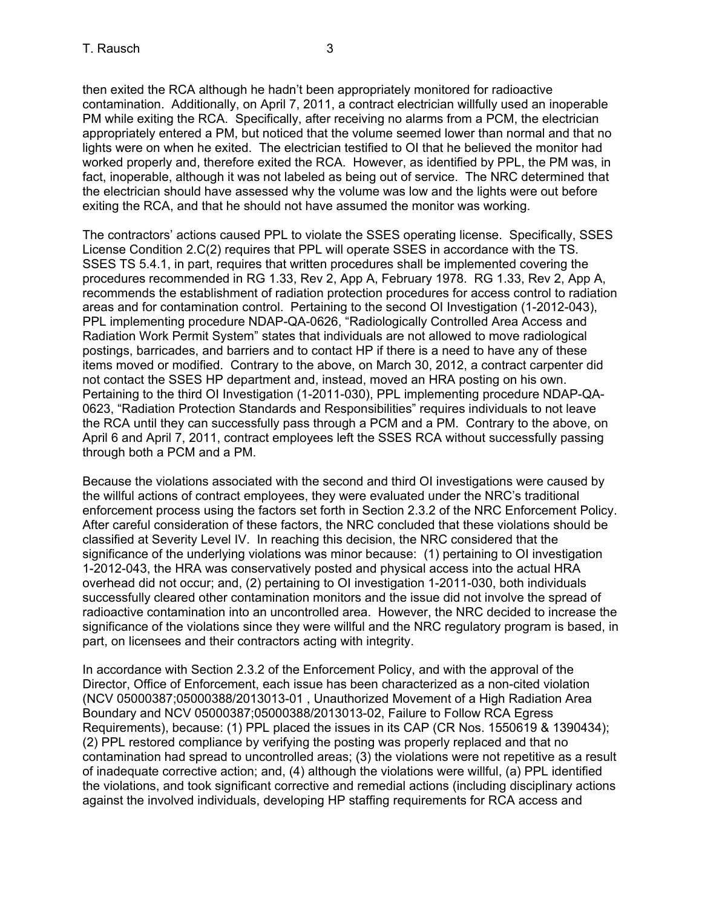then exited the RCA although he hadn't been appropriately monitored for radioactive contamination. Additionally, on April 7, 2011, a contract electrician willfully used an inoperable PM while exiting the RCA. Specifically, after receiving no alarms from a PCM, the electrician appropriately entered a PM, but noticed that the volume seemed lower than normal and that no lights were on when he exited. The electrician testified to OI that he believed the monitor had worked properly and, therefore exited the RCA. However, as identified by PPL, the PM was, in fact, inoperable, although it was not labeled as being out of service. The NRC determined that the electrician should have assessed why the volume was low and the lights were out before exiting the RCA, and that he should not have assumed the monitor was working.

The contractors' actions caused PPL to violate the SSES operating license. Specifically, SSES License Condition 2.C(2) requires that PPL will operate SSES in accordance with the TS. SSES TS 5.4.1, in part, requires that written procedures shall be implemented covering the procedures recommended in RG 1.33, Rev 2, App A, February 1978. RG 1.33, Rev 2, App A, recommends the establishment of radiation protection procedures for access control to radiation areas and for contamination control. Pertaining to the second OI Investigation (1-2012-043), PPL implementing procedure NDAP-QA-0626, "Radiologically Controlled Area Access and Radiation Work Permit System" states that individuals are not allowed to move radiological postings, barricades, and barriers and to contact HP if there is a need to have any of these items moved or modified. Contrary to the above, on March 30, 2012, a contract carpenter did not contact the SSES HP department and, instead, moved an HRA posting on his own. Pertaining to the third OI Investigation (1-2011-030), PPL implementing procedure NDAP-QA-0623, "Radiation Protection Standards and Responsibilities" requires individuals to not leave the RCA until they can successfully pass through a PCM and a PM. Contrary to the above, on April 6 and April 7, 2011, contract employees left the SSES RCA without successfully passing through both a PCM and a PM.

Because the violations associated with the second and third OI investigations were caused by the willful actions of contract employees, they were evaluated under the NRC's traditional enforcement process using the factors set forth in Section 2.3.2 of the NRC Enforcement Policy. After careful consideration of these factors, the NRC concluded that these violations should be classified at Severity Level IV. In reaching this decision, the NRC considered that the significance of the underlying violations was minor because: (1) pertaining to OI investigation 1-2012-043, the HRA was conservatively posted and physical access into the actual HRA overhead did not occur; and, (2) pertaining to OI investigation 1-2011-030, both individuals successfully cleared other contamination monitors and the issue did not involve the spread of radioactive contamination into an uncontrolled area. However, the NRC decided to increase the significance of the violations since they were willful and the NRC regulatory program is based, in part, on licensees and their contractors acting with integrity.

In accordance with Section 2.3.2 of the Enforcement Policy, and with the approval of the Director, Office of Enforcement, each issue has been characterized as a non-cited violation (NCV 05000387;05000388/2013013-01 , Unauthorized Movement of a High Radiation Area Boundary and NCV 05000387;05000388/2013013-02, Failure to Follow RCA Egress Requirements), because: (1) PPL placed the issues in its CAP (CR Nos. 1550619 & 1390434); (2) PPL restored compliance by verifying the posting was properly replaced and that no contamination had spread to uncontrolled areas; (3) the violations were not repetitive as a result of inadequate corrective action; and, (4) although the violations were willful, (a) PPL identified the violations, and took significant corrective and remedial actions (including disciplinary actions against the involved individuals, developing HP staffing requirements for RCA access and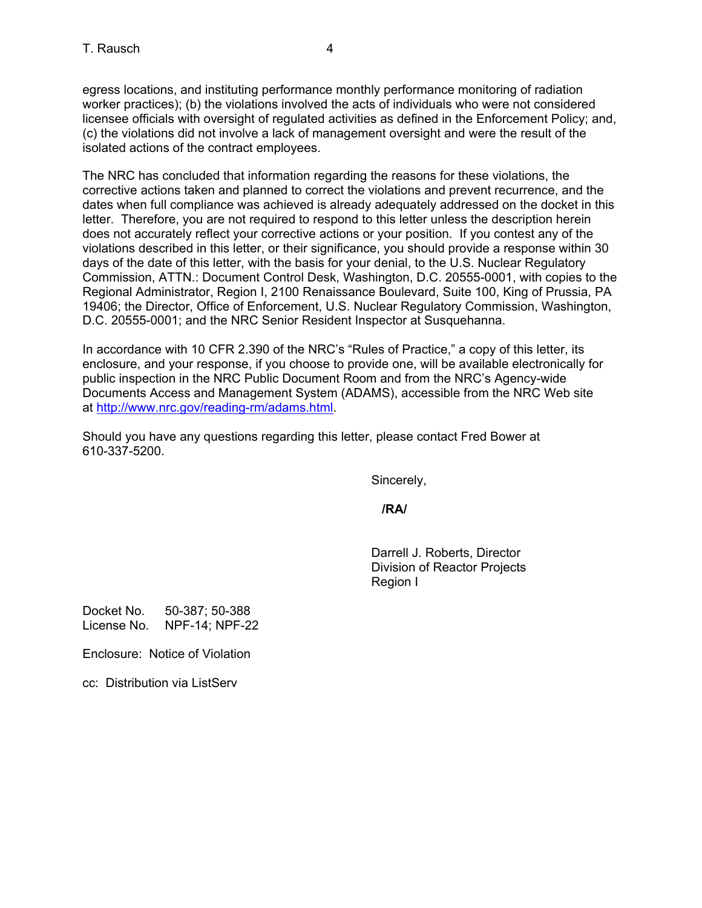egress locations, and instituting performance monthly performance monitoring of radiation worker practices); (b) the violations involved the acts of individuals who were not considered licensee officials with oversight of regulated activities as defined in the Enforcement Policy; and, (c) the violations did not involve a lack of management oversight and were the result of the isolated actions of the contract employees.

The NRC has concluded that information regarding the reasons for these violations, the corrective actions taken and planned to correct the violations and prevent recurrence, and the dates when full compliance was achieved is already adequately addressed on the docket in this letter. Therefore, you are not required to respond to this letter unless the description herein does not accurately reflect your corrective actions or your position. If you contest any of the violations described in this letter, or their significance, you should provide a response within 30 days of the date of this letter, with the basis for your denial, to the U.S. Nuclear Regulatory Commission, ATTN.: Document Control Desk, Washington, D.C. 20555-0001, with copies to the Regional Administrator, Region I, 2100 Renaissance Boulevard, Suite 100, King of Prussia, PA 19406; the Director, Office of Enforcement, U.S. Nuclear Regulatory Commission, Washington, D.C. 20555-0001; and the NRC Senior Resident Inspector at Susquehanna.

In accordance with 10 CFR 2.390 of the NRC's "Rules of Practice," a copy of this letter, its enclosure, and your response, if you choose to provide one, will be available electronically for public inspection in the NRC Public Document Room and from the NRC's Agency-wide Documents Access and Management System (ADAMS), accessible from the NRC Web site at http://www.nrc.gov/reading-rm/adams.html.

Should you have any questions regarding this letter, please contact Fred Bower at 610-337-5200.

Sincerely,

*<i> /RA/*  $\sqrt{R}$ /RA/  $\sqrt{R}$ 

Darrell J. Roberts, Director Division of Reactor Projects Region I

Docket No. 50-387; 50-388 License No. NPF-14; NPF-22

Enclosure: Notice of Violation

cc: Distribution via ListServ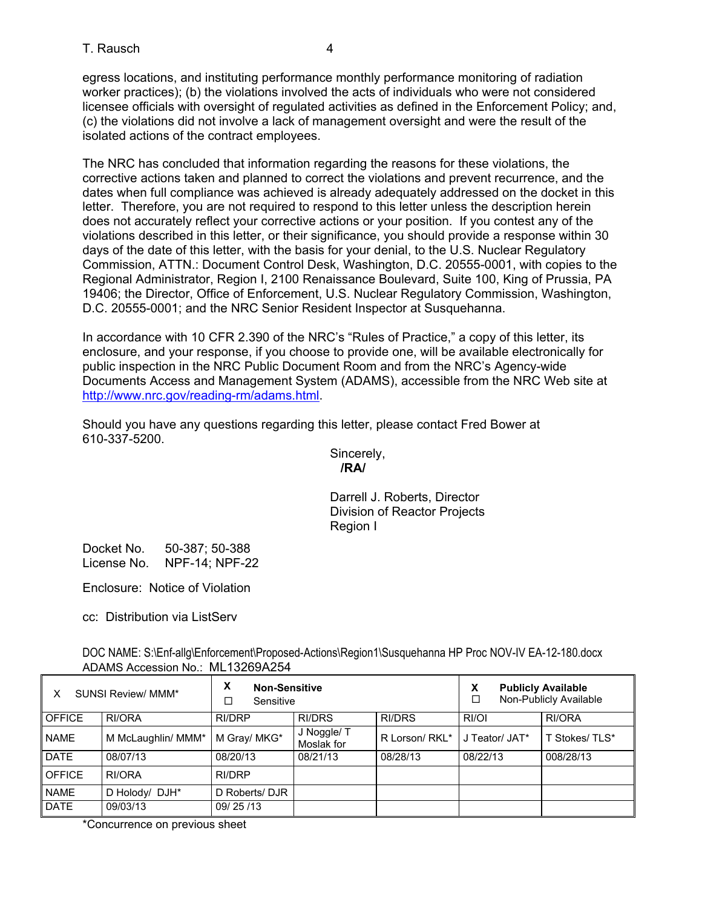egress locations, and instituting performance monthly performance monitoring of radiation worker practices); (b) the violations involved the acts of individuals who were not considered licensee officials with oversight of regulated activities as defined in the Enforcement Policy; and, (c) the violations did not involve a lack of management oversight and were the result of the isolated actions of the contract employees.

The NRC has concluded that information regarding the reasons for these violations, the corrective actions taken and planned to correct the violations and prevent recurrence, and the dates when full compliance was achieved is already adequately addressed on the docket in this letter. Therefore, you are not required to respond to this letter unless the description herein does not accurately reflect your corrective actions or your position. If you contest any of the violations described in this letter, or their significance, you should provide a response within 30 days of the date of this letter, with the basis for your denial, to the U.S. Nuclear Regulatory Commission, ATTN.: Document Control Desk, Washington, D.C. 20555-0001, with copies to the Regional Administrator, Region I, 2100 Renaissance Boulevard, Suite 100, King of Prussia, PA 19406; the Director, Office of Enforcement, U.S. Nuclear Regulatory Commission, Washington, D.C. 20555-0001; and the NRC Senior Resident Inspector at Susquehanna.

In accordance with 10 CFR 2.390 of the NRC's "Rules of Practice," a copy of this letter, its enclosure, and your response, if you choose to provide one, will be available electronically for public inspection in the NRC Public Document Room and from the NRC's Agency-wide Documents Access and Management System (ADAMS), accessible from the NRC Web site at http://www.nrc.gov/reading-rm/adams.html.

Should you have any questions regarding this letter, please contact Fred Bower at 610-337-5200.

> Sincerely,  **/RA/**

Darrell J. Roberts, Director Division of Reactor Projects Region I

Docket No. 50-387; 50-388 License No. NPF-14; NPF-22

Enclosure: Notice of Violation

cc: Distribution via ListServ

DOC NAME: S:\Enf-allg\Enforcement\Proposed-Actions\Region1\Susquehanna HP Proc NOV-IV EA-12-180.docx ADAMS Accession No.: ML13269A254

| <b>SUNSI Review/ MMM*</b> |                    | X<br><b>Non-Sensitive</b><br>Sensitive |                           |                | X<br><b>Publicly Available</b><br>Non-Publicly Available |               |
|---------------------------|--------------------|----------------------------------------|---------------------------|----------------|----------------------------------------------------------|---------------|
| <b>OFFICE</b>             | RI/ORA             | <b>RI/DRP</b>                          | <b>RI/DRS</b>             | <b>RI/DRS</b>  | RI/OI                                                    | RI/ORA        |
| <b>NAME</b>               | M McLaughlin/ MMM* | M Gray/ MKG*                           | J Noggle/ T<br>Moslak for | R Lorson/ RKL* | J Teator/ JAT*                                           | T Stokes/TLS* |
| <b>DATE</b>               | 08/07/13           | 08/20/13                               | 08/21/13                  | 08/28/13       | 08/22/13                                                 | 008/28/13     |
| <b>OFFICE</b>             | RI/ORA             | RI/DRP                                 |                           |                |                                                          |               |
| <b>NAME</b>               | D Holody/ DJH*     | D Roberts/ DJR                         |                           |                |                                                          |               |
| <b>DATE</b>               | 09/03/13           | 09/25/13                               |                           |                |                                                          |               |

\*Concurrence on previous sheet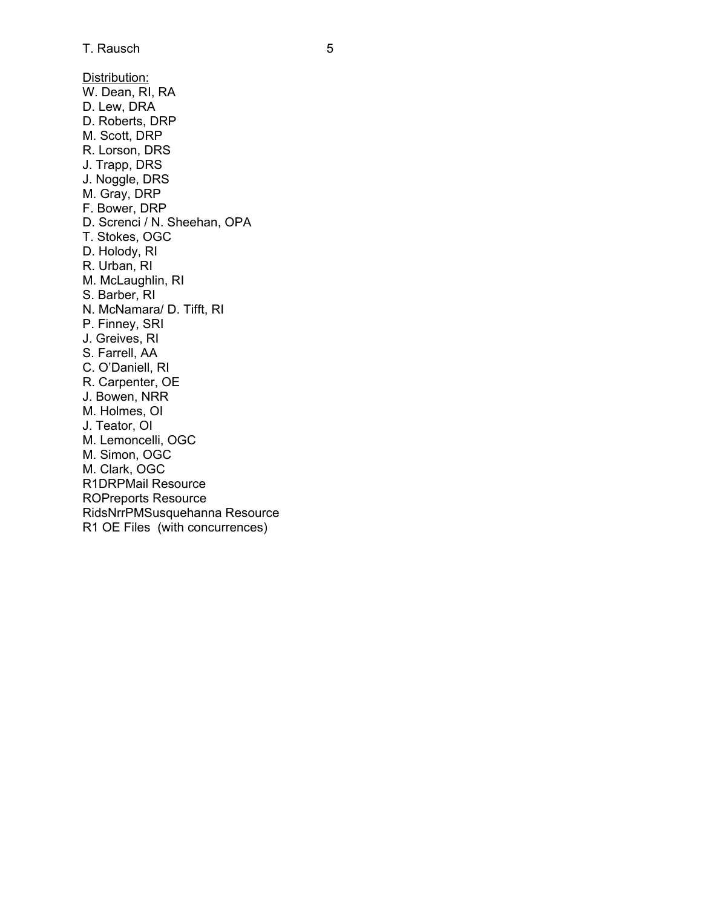Distribution: W. Dean, RI, RA D. Lew, DRA D. Roberts, DRP M. Scott, DRP R. Lorson, DRS J. Trapp, DRS J. Noggle, DRS M. Gray, DRP F. Bower, DRP D. Screnci / N. Sheehan, OPA T. Stokes, OGC D. Holody, RI R. Urban, RI M. McLaughlin, RI S. Barber, RI N. McNamara/ D. Tifft, RI P. Finney, SRI J. Greives, RI S. Farrell, AA C. O'Daniell, RI R. Carpenter, OE J. Bowen, NRR M. Holmes, OI J. Teator, OI M. Lemoncelli, OGC M. Simon, OGC M. Clark, OGC R1DRPMail Resource ROPreports Resource RidsNrrPMSusquehanna Resource R1 OE Files (with concurrences)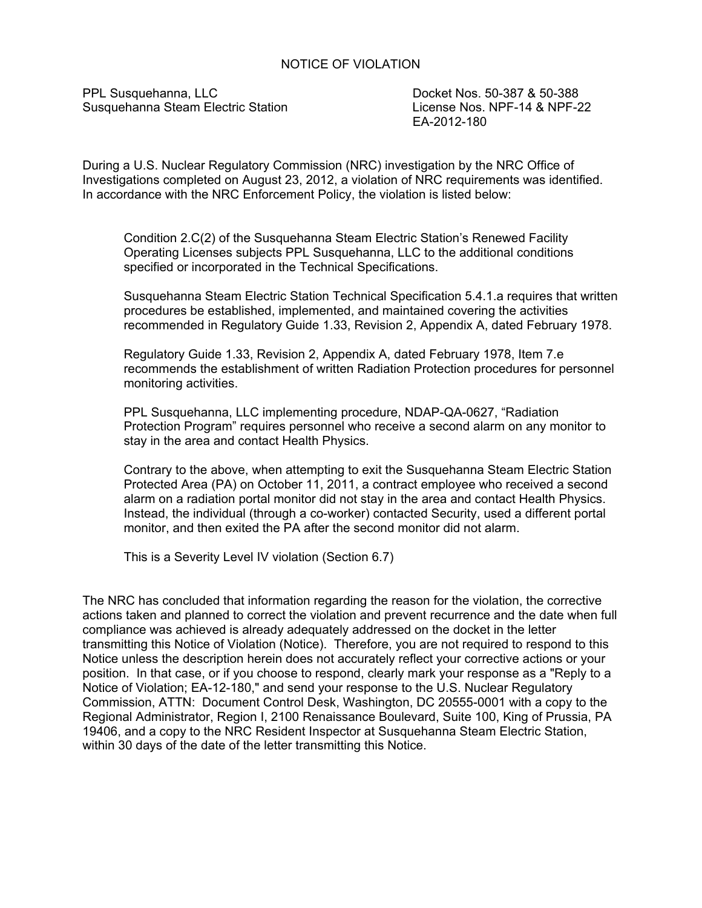## NOTICE OF VIOLATION

PPL Susquehanna, LLC<br>
Susquehanna Steam Electric Station<br>
License Nos. NPF-14 & NPF-22 Susquehanna Steam Electric Station

EA-2012-180

During a U.S. Nuclear Regulatory Commission (NRC) investigation by the NRC Office of Investigations completed on August 23, 2012, a violation of NRC requirements was identified. In accordance with the NRC Enforcement Policy, the violation is listed below:

Condition 2.C(2) of the Susquehanna Steam Electric Station's Renewed Facility Operating Licenses subjects PPL Susquehanna, LLC to the additional conditions specified or incorporated in the Technical Specifications.

Susquehanna Steam Electric Station Technical Specification 5.4.1.a requires that written procedures be established, implemented, and maintained covering the activities recommended in Regulatory Guide 1.33, Revision 2, Appendix A, dated February 1978.

Regulatory Guide 1.33, Revision 2, Appendix A, dated February 1978, Item 7.e recommends the establishment of written Radiation Protection procedures for personnel monitoring activities.

PPL Susquehanna, LLC implementing procedure, NDAP-QA-0627, "Radiation Protection Program" requires personnel who receive a second alarm on any monitor to stay in the area and contact Health Physics.

Contrary to the above, when attempting to exit the Susquehanna Steam Electric Station Protected Area (PA) on October 11, 2011, a contract employee who received a second alarm on a radiation portal monitor did not stay in the area and contact Health Physics. Instead, the individual (through a co-worker) contacted Security, used a different portal monitor, and then exited the PA after the second monitor did not alarm.

This is a Severity Level IV violation (Section 6.7)

The NRC has concluded that information regarding the reason for the violation, the corrective actions taken and planned to correct the violation and prevent recurrence and the date when full compliance was achieved is already adequately addressed on the docket in the letter transmitting this Notice of Violation (Notice). Therefore, you are not required to respond to this Notice unless the description herein does not accurately reflect your corrective actions or your position. In that case, or if you choose to respond, clearly mark your response as a "Reply to a Notice of Violation; EA-12-180," and send your response to the U.S. Nuclear Regulatory Commission, ATTN: Document Control Desk, Washington, DC 20555-0001 with a copy to the Regional Administrator, Region I, 2100 Renaissance Boulevard, Suite 100, King of Prussia, PA 19406, and a copy to the NRC Resident Inspector at Susquehanna Steam Electric Station, within 30 days of the date of the letter transmitting this Notice.